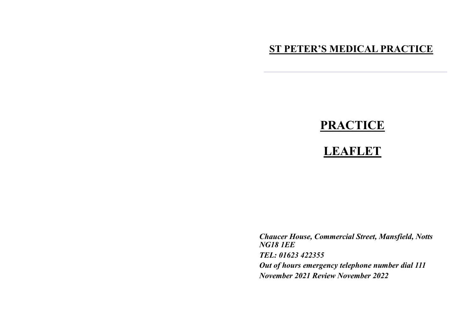# **ST PETER'S MEDICAL PRACTICE**

# **PRACTICE**

# **LEAFLET**

*Chaucer House, Commercial Street, Mansfield, Notts NG18 1EE TEL: 01623 422355 Out of hours emergency telephone number dial 111 November 2021 Review November 2022*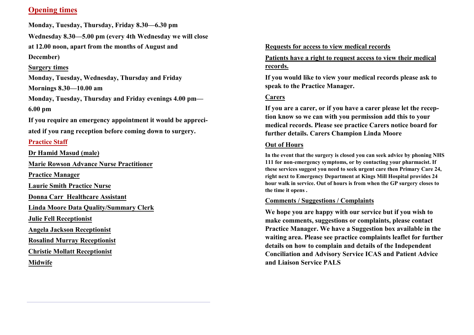## **Opening times**

**Monday, Tuesday, Thursday, Friday 8.30—6.30 pm** 

**Wednesday 8.30—5.00 pm (every 4th Wednesday we will close** 

**at 12.00 noon, apart from the months of August and** 

**December)**

#### **Surgery times**

**Monday, Tuesday, Wednesday, Thursday and Friday Mornings 8.30—10.00 am**

**Monday, Tuesday, Thursday and Friday evenings 4.00 pm— 6.00 pm**

**If you require an emergency appointment it would be appreciated if you rang reception before coming down to surgery.**

## **Practice Staff**

**Dr Hamid Masud (male)**

**Marie Rowson Advance Nurse Practitioner**

**Practice Manager**

**Laurie Smith Practice Nurse**

**Donna Carr Healthcare Assistant**

**Linda Moore Data Quality/Summary Clerk**

**Julie Fell Receptionist**

**Angela Jackson Receptionist**

**Rosalind Murray Receptionist**

**Christie Mollatt Receptionist**

**Midwife**

#### **Requests for access to view medical records**

**Patients have a right to request access to view their medical records.**

**If you would like to view your medical records please ask to speak to the Practice Manager.**

### **Carers**

**If you are a carer, or if you have a carer please let the reception know so we can with you permission add this to your medical records. Please see practice Carers notice board for further details. Carers Champion Linda Moore**

#### **Out of Hours**

**In the event that the surgery is closed you can seek advice by phoning NHS 111 for non-emergency symptoms, or by contacting your pharmacist. If these services suggest you need to seek urgent care then Primary Care 24, right next to Emergency Department at Kings Mill Hospital provides 24 hour walk in service. Out of hours is from when the GP surgery closes to the time it opens .**

#### **Comments / Suggestions / Complaints**

**We hope you are happy with our service but if you wish to make comments, suggestions or complaints, please contact Practice Manager. We have a Suggestion box available in the waiting area. Please see practice complaints leaflet for further details on how to complain and details of the Independent Conciliation and Advisory Service ICAS and Patient Advice and Liaison Service PALS**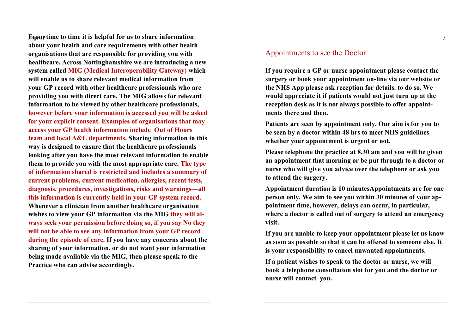**F***Pa***r***g***o***e* **m***12* **time to time it is helpful for us to share information about your health and care requirements with other health organisations that are responsible for providing you with healthcare. Across Nottinghamshire we are introducing a new system called MIG (Medical Interoperability Gateway) which will enable us to share relevant medical information from your GP record with other healthcare professionals who are providing you with direct care. The MIG allows for relevant information to be viewed by other healthcare professionals, however before your information is accessed you will be asked for your explicit consent. Examples of organisations that may access your GP health information include Out of Hours team and local A&E departments. Sharing information in this way is designed to ensure that the healthcare professionals looking after you have the most relevant information to enable them to provide you with the most appropriate care. The type of information shared is restricted and includes a summary of current problems, current medication, allergies, recent tests, diagnosis, procedures, investigations, risks and warnings—all this information is currently held in your GP system record. Whenever a clinician from another healthcare organisation wishes to view your GP information via the MIG they will always seek your permission before doing so, if you say No they will not be able to see any information from your GP record during the episode of care. If you have any concerns about the sharing of your information, or do not want your information being made available via the MIG, then please speak to the Practice who can advise accordingly.**

#### Appointments to see the Doctor

**If you require a GP or nurse appointment please contact the surgery or book your appointment on-line via our website or the NHS App please ask reception for details. to do so. We would appreciate it if patients would not just turn up at the reception desk as it is not always possible to offer appointments there and then.**

**Patients are seen by appointment only. Our aim is for you to be seen by a doctor within 48 hrs to meet NHS guidelines whether your appointment is urgent or not.**

**Please telephone the practice at 8.30 am and you will be given an appointment that morning or be put through to a doctor or nurse who will give you advice over the telephone or ask you to attend the surgery.**

**Appointment duration is 10 minutesAppointments are for one person only. We aim to see you within 30 minutes of your appointment time, however, delays can occur, in particular, where a doctor is called out of surgery to attend an emergency visit.**

**If you are unable to keep your appointment please let us know as soon as possible so that it can be offered to someone else. It is your responsibility to cancel unwanted appointments.**

**If a patient wishes to speak to the doctor or nurse, we will book a telephone consultation slot for you and the doctor or nurse will contact you.**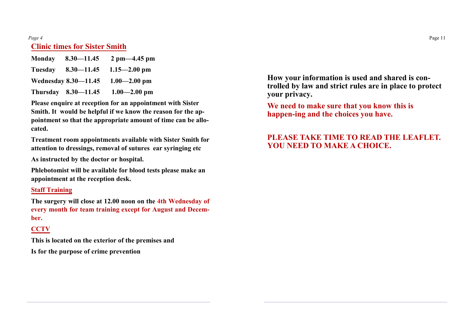#### *Page 4* **Clinic times for Sister Smith**

| <b>Monday</b> | $8.30 - 11.45$              | $2 \text{ pm} - 4.45 \text{ pm}$ |
|---------------|-----------------------------|----------------------------------|
| Tuesday       | $8.30 - 11.45$              | $1.15 - 2.00$ pm                 |
|               | <b>Wednesday 8.30–11.45</b> | $1.00 - 2.00$ pm                 |
|               | Thursday $8.30 - 11.45$     | $1.00 - 2.00$ pm                 |

**Please enquire at reception for an appointment with Sister Smith. It would be helpful if we know the reason for the appointment so that the appropriate amount of time can be allocated.**

**Treatment room appointments available with Sister Smith for attention to dressings, removal of sutures ear syringing etc**

**As instructed by the doctor or hospital.**

**Phlebotomist will be available for blood tests please make an appointment at the reception desk.**

#### **Staff Training**

**The surgery will close at 12.00 noon on the 4th Wednesday of every month for team training except for August and December.**

# **CCTV**

**This is located on the exterior of the premises and Is for the purpose of crime prevention**

**How your information is used and shared is controlled by law and strict rules are in place to protect your privacy.**

**We need to make sure that you know this is happen-ing and the choices you have.**

# **PLEASE TAKE TIME TO READ THE LEAFLET. YOU NEED TO MAKE A CHOICE.**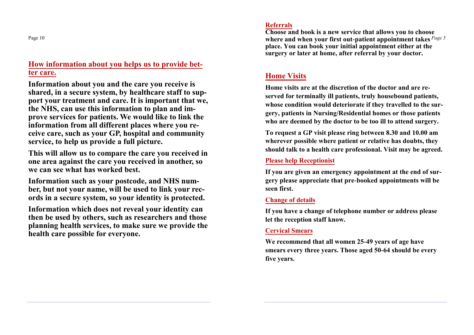Page 10

# **How information about you helps us to provide better care.**

**Information about you and the care you receive is shared, in a secure system, by healthcare staff to support your treatment and care. It is important that we, the NHS, can use this information to plan and improve services for patients. We would like to link the information from all different places where you receive care, such as your GP, hospital and community service, to help us provide a full picture.**

**This will allow us to compare the care you received in one area against the care you received in another, so we can see what has worked best.**

**Information such as your postcode, and NHS number, but not your name, will be used to link your records in a secure system, so your identity is protected.** 

**Information which does not reveal your identity can then be used by others, such as researchers and those planning health services, to make sure we provide the health care possible for everyone.**

#### **Referrals**

*Page 5* **where and when your first out-patient appointment takes Choose and book is a new service that allows you to choose place. You can book your initial appointment either at the surgery or later at home, after referral by your doctor.**

# **Home Visits**

**Home visits are at the discretion of the doctor and are reserved for terminally ill patients, truly housebound patients, whose condition would deteriorate if they travelled to the surgery, patients in Nursing/Residential homes or those patients who are deemed by the doctor to be too ill to attend surgery.**

**To request a GP visit please ring between 8.30 and 10.00 am wherever possible where patient or relative has doubts, they should talk to a health care professional. Visit may be agreed.**

## **Please help Receptionist**

**If you are given an emergency appointment at the end of surgery please appreciate that pre-booked appointments will be seen first.**

### **Change of details**

**If you have a change of telephone number or address please let the reception staff know.**

## **Cervical Smears**

**We recommend that all women 25-49 years of age have smears every three years. Those aged 50-64 should be every five years.**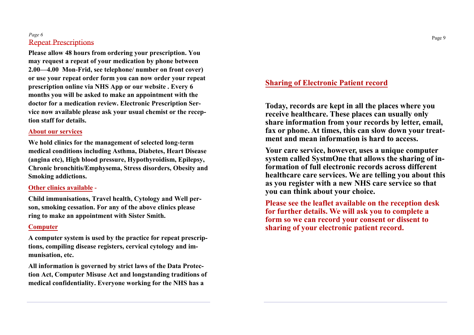#### *Page 6* Repeat Prescriptions

**Please allow 48 hours from ordering your prescription. You may request a repeat of your medication by phone between 2.00—4.00 Mon-Frid, see telephone/ number on front cover) or use your repeat order form you can now order your repeat prescription online via NHS App or our website . Every 6 months you will be asked to make an appointment with the doctor for a medication review. Electronic Prescription Service now available please ask your usual chemist or the reception staff for details.**

#### **About our services**

**We hold clinics for the management of selected long-term medical conditions including Asthma, Diabetes, Heart Disease (angina etc), High blood pressure, Hypothyroidism, Epilepsy, Chronic bronchitis/Emphysema, Stress disorders, Obesity and Smoking addictions.**

#### **Other clinics available -**

**Child immunisations, Travel health, Cytology and Well person, smoking cessation. For any of the above clinics please ring to make an appointment with Sister Smith.**

### **Computer**

**A computer system is used by the practice for repeat prescriptions, compiling disease registers, cervical cytology and immunisation, etc.**

**All information is governed by strict laws of the Data Protection Act, Computer Misuse Act and longstanding traditions of medical confidentiality. Everyone working for the NHS has a** 

## **Sharing of Electronic Patient record**

**Today, records are kept in all the places where you receive healthcare. These places can usually only share information from your records by letter, email, fax or phone. At times, this can slow down your treatment and mean information is hard to access.**

**Your care service, however, uses a unique computer system called SystmOne that allows the sharing of information of full electronic records across different healthcare care services. We are telling you about this as you register with a new NHS care service so that you can think about your choice.** 

**Please see the leaflet available on the reception desk for further details. We will ask you to complete a form so we can record your consent or dissent to sharing of your electronic patient record.**